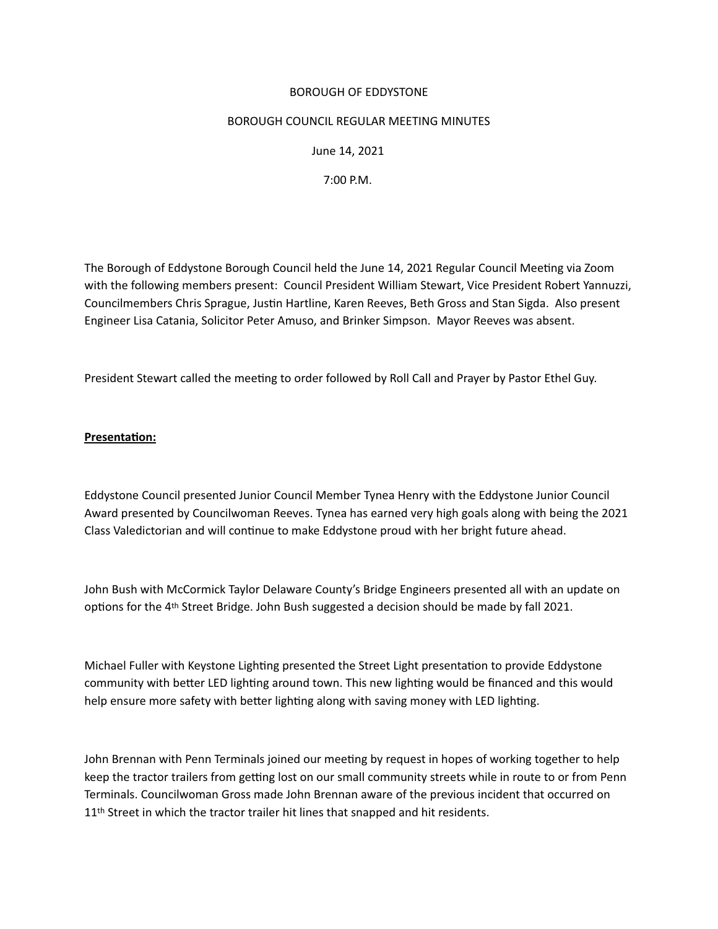## BOROUGH OF EDDYSTONE

#### BOROUGH COUNCIL REGULAR MEETING MINUTES

 June 14, 2021

 7:00 P.M.

The Borough of Eddystone Borough Council held the June 14, 2021 Regular Council Meeting via Zoom with the following members present: Council President William Stewart, Vice President Robert Yannuzzi, Councilmembers Chris Sprague, Justin Hartline, Karen Reeves, Beth Gross and Stan Sigda. Also present Engineer Lisa Catania, Solicitor Peter Amuso, and Brinker Simpson. Mayor Reeves was absent.

President Stewart called the meeting to order followed by Roll Call and Prayer by Pastor Ethel Guy.

# **Presentaton:**

Eddystone Council presented Junior Council Member Tynea Henry with the Eddystone Junior Council Award presented by Councilwoman Reeves. Tynea has earned very high goals along with being the 2021 Class Valedictorian and will contnue to make Eddystone proud with her bright future ahead.

John Bush with McCormick Taylor Delaware County's Bridge Engineers presented all with an update on options for the 4<sup>th</sup> Street Bridge. John Bush suggested a decision should be made by fall 2021.

Michael Fuller with Keystone Lighting presented the Street Light presentation to provide Eddystone community with better LED lighting around town. This new lighting would be financed and this would help ensure more safety with better lighting along with saving money with LED lighting.

John Brennan with Penn Terminals joined our meeting by request in hopes of working together to help keep the tractor trailers from getting lost on our small community streets while in route to or from Penn Terminals. Councilwoman Gross made John Brennan aware of the previous incident that occurred on 11<sup>th</sup> Street in which the tractor trailer hit lines that snapped and hit residents.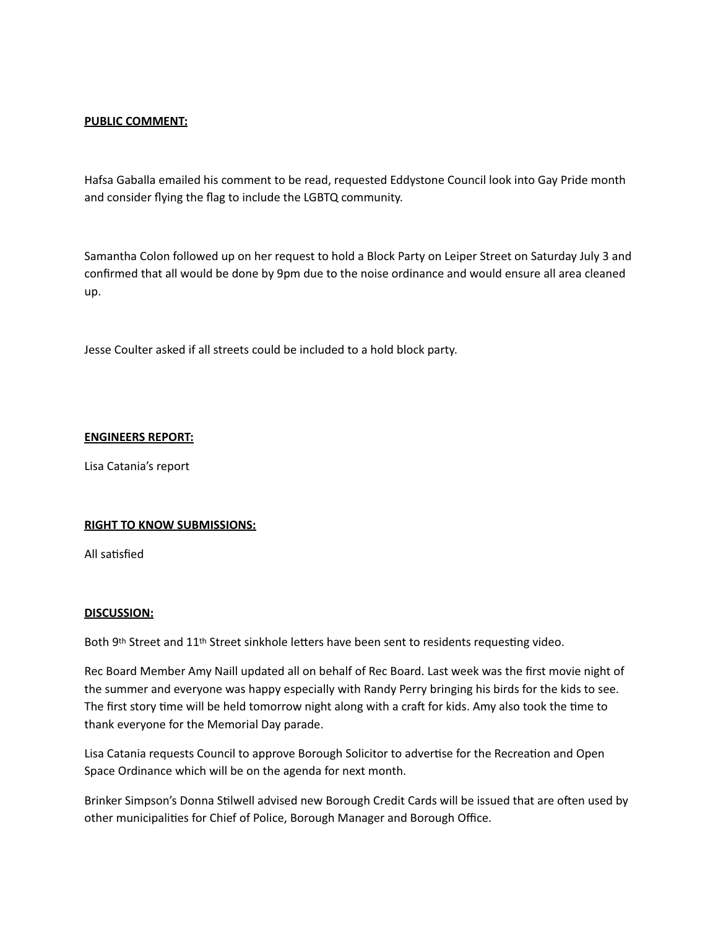## **PUBLIC COMMENT:**

Hafsa Gaballa emailed his comment to be read, requested Eddystone Council look into Gay Pride month and consider flying the flag to include the LGBTQ community.

Samantha Colon followed up on her request to hold a Block Party on Leiper Street on Saturday July 3 and confirmed that all would be done by 9pm due to the noise ordinance and would ensure all area cleaned up.

Jesse Coulter asked if all streets could be included to a hold block party.

#### **ENGINEERS REPORT:**

Lisa Catania's report

#### **RIGHT TO KNOW SUBMISSIONS:**

All satisfied

#### **DISCUSSION:**

Both 9th Street and 11<sup>th</sup> Street sinkhole letters have been sent to residents requesting video.

Rec Board Member Amy Naill updated all on behalf of Rec Board. Last week was the first movie night of the summer and everyone was happy especially with Randy Perry bringing his birds for the kids to see. The first story time will be held tomorrow night along with a craft for kids. Amy also took the time to thank everyone for the Memorial Day parade.

Lisa Catania requests Council to approve Borough Solicitor to advertse for the Recreaton and Open Space Ordinance which will be on the agenda for next month.

Brinker Simpson's Donna Stlwell advised new Borough Credit Cards will be issued that are ofen used by other municipalites for Chief of Police, Borough Manager and Borough Office.